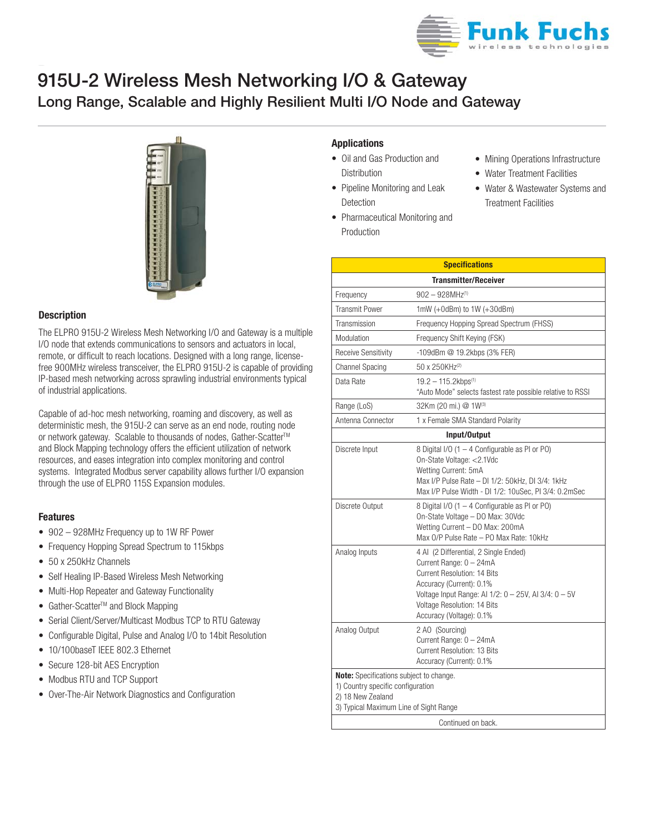

# **Long Range, Scalable and Highly Resilient Multi I/O Node and Gateway 915U-2 Wireless Mesh Networking I/O & Gateway**



### **Description**

The ELPRO 915U-2 Wireless Mesh Networking I/O and Gateway is a multiple I/O node that extends communications to sensors and actuators in local, remote, or difficult to reach locations. Designed with a long range, licensefree 900MHz wireless transceiver, the ELPRO 915U-2 is capable of providing IP-based mesh networking across sprawling industrial environments typical of industrial applications.

Capable of ad-hoc mesh networking, roaming and discovery, as well as deterministic mesh, the 915U-2 can serve as an end node, routing node or network gateway. Scalable to thousands of nodes, Gather-Scatter<sup>™</sup> and Block Mapping technology offers the efficient utilization of network resources, and eases integration into complex monitoring and control systems. Integrated Modbus server capability allows further I/O expansion through the use of ELPRO 115S Expansion modules.

## **Features**

- 902 928MHz Frequency up to 1W RF Power
- Frequency Hopping Spread Spectrum to 115kbps
- 50 x 250kHz Channels
- Self Healing IP-Based Wireless Mesh Networking
- Multi-Hop Repeater and Gateway Functionality
- Gather-Scatter™ and Block Mapping
- Serial Client/Server/Multicast Modbus TCP to RTU Gateway
- Configurable Digital, Pulse and Analog I/O to 14bit Resolution
- 10/100baseT IEEE 802.3 Ethernet
- Secure 128-bit AES Encryption
- Modbus RTU and TCP Support
- Over-The-Air Network Diagnostics and Configuration

## **Applications**

Production

- Oil and Gas Production and Distribution
- Pipeline Monitoring and Leak Detection

• Pharmaceutical Monitoring and

- Mining Operations Infrastructure
- Water Treatment Facilities
- Water & Wastewater Systems and Treatment Facilities

| <b>Specifications</b>                                                                                                                       |                                                                                                                                                                                                                                                       |  |  |  |
|---------------------------------------------------------------------------------------------------------------------------------------------|-------------------------------------------------------------------------------------------------------------------------------------------------------------------------------------------------------------------------------------------------------|--|--|--|
| <b>Transmitter/Receiver</b>                                                                                                                 |                                                                                                                                                                                                                                                       |  |  |  |
| Frequency                                                                                                                                   | $902 - 928$ MHz <sup>(1)</sup>                                                                                                                                                                                                                        |  |  |  |
| <b>Transmit Power</b>                                                                                                                       | $1mW (+0dBm)$ to $1W (+30dBm)$                                                                                                                                                                                                                        |  |  |  |
| Transmission                                                                                                                                | Frequency Hopping Spread Spectrum (FHSS)                                                                                                                                                                                                              |  |  |  |
| Modulation                                                                                                                                  | Frequency Shift Keying (FSK)                                                                                                                                                                                                                          |  |  |  |
| <b>Receive Sensitivity</b>                                                                                                                  | -109dBm @ 19.2kbps (3% FER)                                                                                                                                                                                                                           |  |  |  |
| <b>Channel Spacing</b>                                                                                                                      | 50 x 250KHz <sup>(2)</sup>                                                                                                                                                                                                                            |  |  |  |
| Data Rate                                                                                                                                   | $19.2 - 115.2$ kbps <sup>(1)</sup><br>"Auto Mode" selects fastest rate possible relative to RSSI                                                                                                                                                      |  |  |  |
| Range (LoS)                                                                                                                                 | 32Km (20 mi.) @ 1W(3)                                                                                                                                                                                                                                 |  |  |  |
| Antenna Connector                                                                                                                           | 1 x Female SMA Standard Polarity                                                                                                                                                                                                                      |  |  |  |
|                                                                                                                                             | Input/Output                                                                                                                                                                                                                                          |  |  |  |
| Discrete Input                                                                                                                              | 8 Digital I/O (1 - 4 Configurable as PI or PO)<br>On-State Voltage: <2.1Vdc<br>Wetting Current: 5mA<br>Max I/P Pulse Rate - DI 1/2: 50kHz, DI 3/4: 1kHz<br>Max I/P Pulse Width - DI 1/2: 10uSec, PI 3/4: 0.2mSec                                      |  |  |  |
| Discrete Output                                                                                                                             | 8 Digital I/O (1 - 4 Configurable as PI or PO)<br>On-State Voltage - DO Max: 30Vdc<br>Wetting Current - DO Max: 200mA<br>Max O/P Pulse Rate – PO Max Rate: 10kHz                                                                                      |  |  |  |
| Analog Inputs                                                                                                                               | 4 Al (2 Differential, 2 Single Ended)<br>Current Range: 0 - 24mA<br>Current Resolution: 14 Bits<br>Accuracy (Current): 0.1%<br>Voltage Input Range: AI 1/2: 0 - 25V, AI 3/4: 0 - 5V<br><b>Voltage Resolution: 14 Bits</b><br>Accuracy (Voltage): 0.1% |  |  |  |
| Analog Output                                                                                                                               | 2 AO (Sourcing)<br>Current Range: 0 - 24mA<br>Current Resolution: 13 Bits<br>Accuracy (Current): 0.1%                                                                                                                                                 |  |  |  |
| Note: Specifications subject to change.<br>1) Country specific configuration<br>2) 18 New Zealand<br>3) Typical Maximum Line of Sight Range |                                                                                                                                                                                                                                                       |  |  |  |
| Continued on back.                                                                                                                          |                                                                                                                                                                                                                                                       |  |  |  |